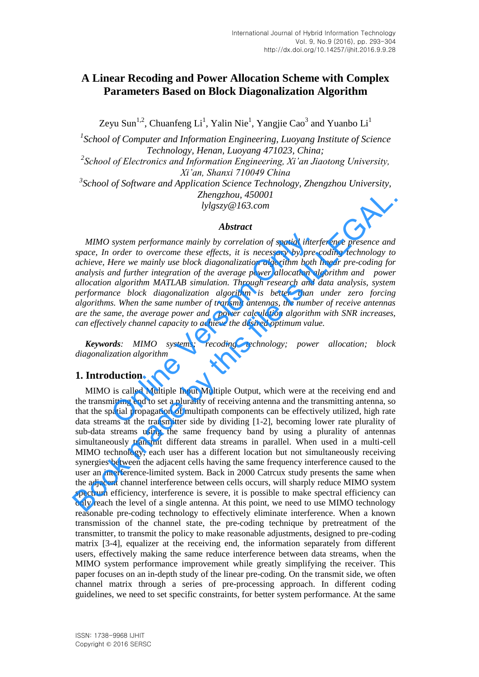# **A Linear Recoding and Power Allocation Scheme with Complex Parameters Based on Block Diagonalization Algorithm**

Zeyu Sun<sup>1,2</sup>, Chuanfeng Li<sup>1</sup>, Yalin Nie<sup>1</sup>, Yangjie Cao<sup>3</sup> and Yuanbo Li<sup>1</sup>

*1 School of Computer and Information Engineering, Luoyang Institute of Science Technology, Henan, Luoyang 471023, China;*  <sup>2</sup> School of Electronics and Information Engineering, Xi'an Jiaotong University, *Xi'an, Shanxi 710049 China 3 School of Software and Application Science Technology, Zhengzhou University, Zhengzhou, 450001 lylgszy@163.com* 

## *Abstract*

*MIMO system performance mainly by correlation of spatial interference presence and space, In order to overcome these effects, it is necessary by pre-coding technology to achieve, Here we mainly use block diagonalization algorithm both linear pre-coding for analysis and further integration of the average power allocation algorithm and power allocation algorithm MATLAB simulation. Through research and data analysis, system performance block diagonalization algorithm is better than under zero forcing algorithms. When the same number of transmit antennas, the number of receive antennas are the same, the average power and power calculation algorithm with SNR increases, can effectively channel capacity to achieve the desired optimum value.*  system performance mainly by correlation of spatial inter<br>order to overcome these effects, it is necessary by pre-<br>Here we mainly use block diagonalization algorithm both<br>and further integration of the average power alloca

*Keywords: MIMO systems; recoding technology; power allocation; block diagonalization algorithm* 

## **1. Introduction**

MIMO is called Multiple Input Multiple Output, which were at the receiving end and the transmitting end to set a plurality of receiving antenna and the transmitting antenna, so that the spatial propagation of multipath components can be effectively utilized, high rate data streams at the transmitter side by dividing [1-2], becoming lower rate plurality of sub-data streams using the same frequency band by using a plurality of antennas simultaneously transmit different data streams in parallel. When used in a multi-cell MIMO technology, each user has a different location but not simultaneously receiving synergies between the adjacent cells having the same frequency interference caused to the user an interference-limited system. Back in 2000 Catrcux study presents the same when the adjacent channel interference between cells occurs, will sharply reduce MIMO system spectrum efficiency, interference is severe, it is possible to make spectral efficiency can only reach the level of a single antenna. At this point, we need to use MIMO technology reasonable pre-coding technology to effectively eliminate interference. When a known transmission of the channel state, the pre-coding technique by pretreatment of the transmitter, to transmit the policy to make reasonable adjustments, designed to pre-coding matrix [3-4], equalizer at the receiving end, the information separately from different users, effectively making the same reduce interference between data streams, when the MIMO system performance improvement while greatly simplifying the receiver. This paper focuses on an in-depth study of the linear pre-coding. On the transmit side, we often channel matrix through a series of pre-processing approach. In different coding guidelines, we need to set specific constraints, for better system performance. At the same **Example 2011 11 Example 2011** 11 **Abstract**<br> **Abstract**<br> **Abstract**<br> **Abstract**<br> **Abstract**<br> **Abstract**<br> **Abstract**<br> **Abstract**<br> **Book diagonalization of spacial interference presence and space, In order to overcome th**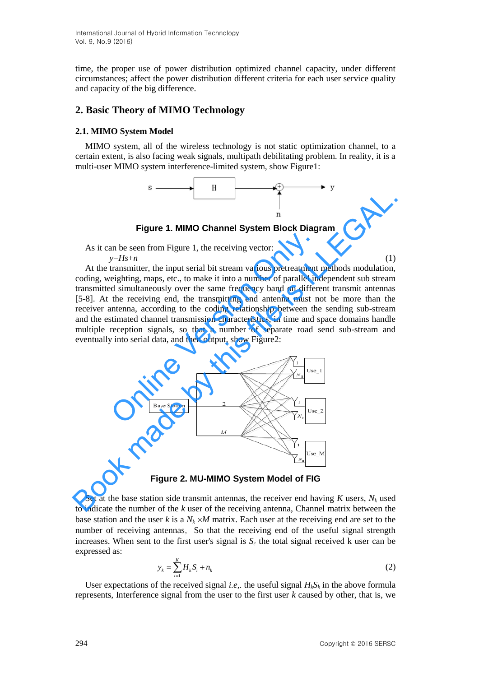time, the proper use of power distribution optimized channel capacity, under different circumstances; affect the power distribution different criteria for each user service quality and capacity of the big difference.

## **2. Basic Theory of MIMO Technology**

### **2.1. MIMO System Model**

MIMO system, all of the wireless technology is not static optimization channel, to a certain extent, is also facing weak signals, multipath debilitating problem. In reality, it is a multi-user MIMO system interference-limited system, show Figure1:



**Figure 1. MIMO Channel System Block Diagram** 

As it can be seen from Figure 1, the receiving vector: *y*=*Hs*+*n* (1)

At the transmitter, the input serial bit stream various pretreatment methods modulation, coding, weighting, maps, etc., to make it into a number of parallel independent sub stream transmitted simultaneously over the same frequency band on different transmit antennas [5-8]. At the receiving end, the transmitting end antenna must not be more than the receiver antenna, according to the coding relationship between the sending sub-stream and the estimated channel transmission characteristics, in time and space domains handle multiple reception signals, so that a number of separate road send sub-stream and eventually into serial data, and then output, show Figure2: an be seen from Figure 1, the receiving vector:<br>  $y=Hs+n$ <br>
transmitter, the input serial bit stream various pretreatment<br>
eighting, maps, etc., to make it into a number of parallel in<br>
d simultaneously over the same freque **Example 1. MIMO Channel System Block Diagram**<br>
As it can be seen from Figure 1, the receiving vector:<br>
At the transmitter, the input serial bit stream various pretreatment methods modulation,<br>
colding, weighting, maps, e



**Figure 2. MU-MIMO System Model of FIG** 

Set at the base station side transmit antennas, the receiver end having  $K$  users,  $N_k$  used to indicate the number of the *k* user of the receiving antenna, Channel matrix between the base station and the user *k* is a  $N_k \times M$  matrix. Each user at the receiving end are set to the number of receiving antennas, So that the receiving end of the useful signal strength increases. When sent to the first user's signal is  $S_c$  the total signal received k user can be expressed as:

$$
y_k = \sum_{i=1}^{K} H_k S_i + n_k
$$
 (2)

User expectations of the received signal *i.e*, the useful signal  $H_kS_k$  in the above formula represents, Interference signal from the user to the first user *k* caused by other, that is, we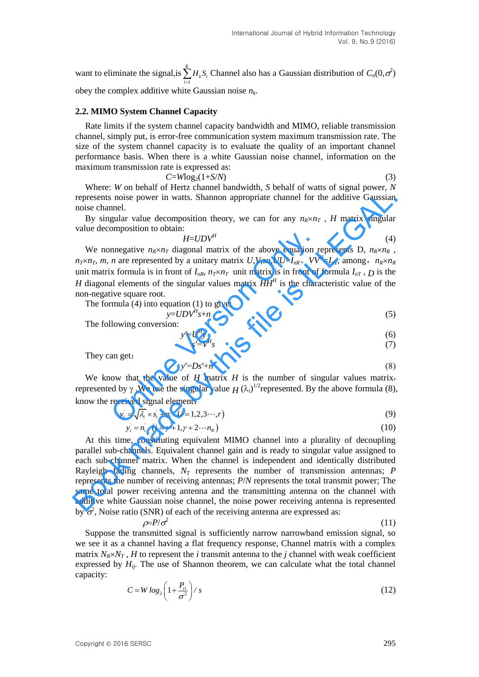want to eliminate the signal, is  $\sum_{k=1}^{k}$ 1  $\sum H_k S_i$  Channel also has a Gaussian distribution of  $C_n(0, \sigma^2)$ *i* = obey the complex additive white Gaussian noise *n<sup>k</sup>* .

#### **2.2. MIMO System Channel Capacity**

Rate limits if the system channel capacity bandwidth and MIMO, reliable transmission channel, simply put, is error-free communication system maximum transmission rate. The size of the system channel capacity is to evaluate the quality of an important channel performance basis. When there is a white Gaussian noise channel, information on the maximum transmission rate is expressed as:

 $C = W \log_2(1 + S/N)$  (3)

Where: *W* on behalf of Hertz channel bandwidth, *S* behalf of watts of signal power, *N*  represents noise power in watts. Shannon appropriate channel for the additive Gaussian noise channel.

By singular value decomposition theory, we can for any  $n_R \times n_T$ , *H* matrix singular value decomposition to obtain:

$$
H = UDV^H \tag{4}
$$

We nonnegative  $n_R \times n_T$  diagonal matrix of the above equation represents D,  $n_R \times n_R$ ,  $n_T \times n_T$ , *m*, *n* are represented by a unitary matrix *U*,*V*,so,*UU*=*I<sub>nR</sub>*, *VV*<sup>*H*</sup>=*I<sub>nT</sub>*, among,  $n_R \times n_R$ unit matrix formula is in front of  $I_{nR}$ ,  $n_T \times n_T$  unit matrix is in front of formula  $I_{nT}$ ,  $D$  is the *H* diagonal elements of the singular values matrix  $HH<sup>H</sup>$  is the characteristic value of the non-negative square root. *H=UDV<sup>H</sup>*<br>
nnegative  $n_R \times n_T$  diagonal matrix of the above equation *n*<br> *n* are represented by a unitary matrix *U*, *V*, so, *UU*=*I<sub>nR</sub>*, *VV*<br>
x formula is in front of  $I_{nR}$ ,  $n_T \times n_T$  unit matrix is in front of<br>
al

The formula (4) into equation (1) to give:

$$
y = UDV^H s + n \tag{5}
$$

The following conversion:

$$
y'=U^H y
$$
  
\n
$$
s'=V^H s
$$
\n(6)

They can get:

$$
y'=Ds'+n'
$$
\n<sup>(8)</sup>

We know that the value of *H* matrix *H* is the number of singular values matrix, represented by  $\gamma$ . We use the singular value  $H(\lambda_i)^{1/2}$ represented. By the above formula (8),

know the received signal element:  
\n
$$
y_i = \sqrt{\lambda_i} \times s_i + n_i \quad (i = 1, 2, 3 \cdots, r)
$$
\n(9)

$$
y'_{i} = n'_{i} \quad (i = \gamma + 1, \gamma + 2 \cdots n_{R})
$$
 (10)

At this time, constituting equivalent MIMO channel into a plurality of decoupling parallel sub-channels. Equivalent channel gain and is ready to singular value assigned to each sub-channel matrix. When the channel is independent and identically distributed Rayleigh fading channels, *NT* represents the number of transmission antennas; *P* represents the number of receiving antennas; *P*/*N* represents the total transmit power; The same total power receiving antenna and the transmitting antenna on the channel with additive white Gaussian noise channel, the noise power receiving antenna is represented by  $\sigma^2$ , Noise ratio (SNR) of each of the receiving antenna are expressed as: represents noise power in watts. Shannon appropriate channel for the additive Gaussian<br>
noise channel.<br>
By singular value decomposition theory, we can for any  $n_R \times n_T$ , *H* matrix singular<br>
value decomposition to obtain.<br>

$$
\rho = P/\sigma^2 \tag{11}
$$

Suppose the transmitted signal is sufficiently narrow narrowband emission signal, so we see it as a channel having a flat frequency response, Channel matrix with a complex matrix  $N_R \times N_T$ , *H* to represent the *i* transmit antenna to the *j* channel with weak coefficient expressed by  $H_{ij}$ . The use of Shannon theorem, we can calculate what the total channel capacity:

$$
C = W \log_2 \left( 1 + \frac{P_{ii}}{\sigma^2} \right) / s \tag{12}
$$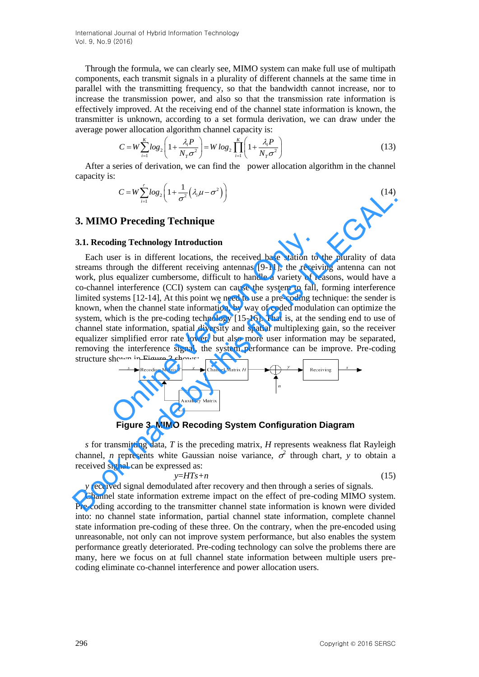International Journal of Hybrid Information Technology Vol. 9, No.9 (2016)

Through the formula, we can clearly see, MIMO system can make full use of multipath components, each transmit signals in a plurality of different channels at the same time in parallel with the transmitting frequency, so that the bandwidth cannot increase, nor to increase the transmission power, and also so that the transmission rate information is effectively improved. At the receiving end of the channel state information is known, the transmitter is unknown, according to a set formula derivation, we can draw under the

average power allocation algorithm channel capacity is:  
\n
$$
C = W \sum_{i=1}^{K} \log_2 \left( 1 + \frac{\lambda_i P}{N_T \sigma^2} \right) = W \log_2 \prod_{i=1}^{K} \left( 1 + \frac{\lambda_i P}{N_T \sigma^2} \right)
$$
\n(13)

After a series of derivation, we can find the power allocation algorithm in the channel capacity is:

$$
C = W \sum_{i=1}^{r} \log_2 \left( 1 + \frac{1}{\sigma^2} \left( \lambda_i \mu - \sigma^2 \right) \right) \tag{14}
$$

### **3. MIMO Preceding Technique**

#### **3.1. Recoding Technology Introduction**

Each user is in different locations, the received base station to the plurality of data streams through the different receiving antennas [9-11], the receiving antenna can not work, plus equalizer cumbersome, difficult to handle a variety of reasons, would have a co-channel interference (CCI) system can cause the system to fall, forming interference limited systems [12-14], At this point we need to use a pre-coding technique: the sender is known, when the channel state information, by way of coded modulation can optimize the system, which is the pre-coding technology [15-16]. That is, at the sending end to use of channel state information, spatial diversity and spatial multiplexing gain, so the receiver equalizer simplified error rate lower, but also more user information may be separated, removing the interference signal, the system performance can be improve. Pre-coding structure shown in Figure 3 shows: ding Technology Introduction<br>ser is in different locations, the received base station to<br>hrough the different receiving antennas [9-11], the receive<br>s equalizer cumbersome, difficult to handle a variety of rel<br>literferenc C=W  $\frac{L}{16}log_2(1+\frac{1}{\sigma^2}(\lambda_i\mu-\sigma^2))$  (14)<br>
3. MIMO Preceding Technology Introduction<br>
Each was relations through the different locations, the received base station to the plurality of data<br>
streams hirong the different



**Figure 3. MIMO Recoding System Configuration Diagram** 

*s* for transmitting data, *T* is the preceding matrix, *H* represents weakness flat Rayleigh channel, *n* represents white Gaussian noise variance,  $\sigma^2$  through chart, *y* to obtain a received signal can be expressed as:

$$
y = HTs + n \tag{15}
$$

*y* received signal demodulated after recovery and then through a series of signals.

Channel state information extreme impact on the effect of pre-coding MIMO system. Pre-coding according to the transmitter channel state information is known were divided into: no channel state information, partial channel state information, complete channel state information pre-coding of these three. On the contrary, when the pre-encoded using unreasonable, not only can not improve system performance, but also enables the system performance greatly deteriorated. Pre-coding technology can solve the problems there are many, here we focus on at full channel state information between multiple users precoding eliminate co-channel interference and power allocation users.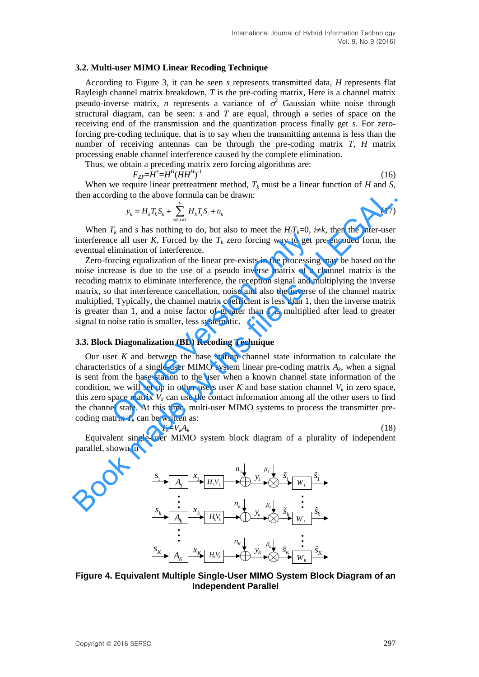#### **3.2. Multi-user MIMO Linear Recoding Technique**

According to Figure 3, it can be seen *s* represents transmitted data, *H* represents flat Rayleigh channel matrix breakdown, *T* is the pre-coding matrix, Here is a channel matrix pseudo-inverse matrix, *n* represents a variance of  $\sigma^2$  Gaussian white noise through structural diagram, can be seen: *s* and *T* are equal, through a series of space on the receiving end of the transmission and the quantization process finally get *s*. For zeroforcing pre-coding technique, that is to say when the transmitting antenna is less than the number of receiving antennas can be through the pre-coding matrix *T*, *H* matrix processing enable channel interference caused by the complete elimination.

Thus, we obtain a preceding matrix zero forcing algorithms are:

$$
F_{ZF} = H^H (HH^H)^{-1}
$$
 (16)

When we require linear pretreatment method,  $T_k$  must be a linear function of  $H$  and  $S$ , then according to the above formula can be drawn:

$$
y_k = H_k T_k S_k + \sum_{i=1, i \neq k}^{k} H_k T_i S_i + n_k
$$
\n(17)

When  $T_k$  and *s* has nothing to do, but also to meet the  $H_iT_k=0$ ,  $i \neq k$ , then the inter-user interference all user  $K$ , Forced by the  $T_k$  zero forcing way to get pre-encoded form, the eventual elimination of interference.

Zero-forcing equalization of the linear pre-exists in the processing may be based on the noise increase is due to the use of a pseudo inverse matrix of a channel matrix is the recoding matrix to eliminate interference, the reception signal and multiplying the inverse matrix, so that interference cancellation, noise and also the inverse of the channel matrix multiplied, Typically, the channel matrix coefficient is less than 1, then the inverse matrix is greater than 1, and a noise factor of greater than 1 is multiplied after lead to greater signal to noise ratio is smaller, less systematic.

#### **3.3. Block Diagonalization (BD) Recoding Technique**

Our user *K* and between the base station channel state information to calculate the characteristics of a single-user MIMO system linear pre-coding matrix  $A_k$ , when a signal is sent from the base station to the user when a known channel state information of the condition, we will set up in other users user  $K$  and base station channel  $V_k$  in zero space, this zero space matrix  $V_k$  can use the contact information among all the other users to find the channel state. At this time, multi-user MIMO systems to process the transmitter precoding matrix  $T_k$  can be written as:  $V_R$  and so mush contained by the  $T_k$  zero forcing way to get p<br>ce all user  $K$ , Forced by the  $T_k$  zero forcing way to get p<br>elimination of interference.<br>orcing equalization of the linear pre-exists in the processing<br>re then according to the above formula can be drawn:<br>  $y_x = H_x T_x S_x + \sum_{i=1, j \neq j}^{j} H_i T_j S_i + n_k$ <br>
When  $T_k$  and s has nothing to do, but also to meet the  $H_i T_i = 0$ ,  $i \neq k$ , then the inter-user<br>
interference all user  $K$ , Forced

$$
T_k = V_k A_k \tag{18}
$$

Equivalent single-user MIMO system block diagram of a plurality of independent parallel, shown in



### **Figure 4. Equivalent Multiple Single-User MIMO System Block Diagram of an Independent Parallel**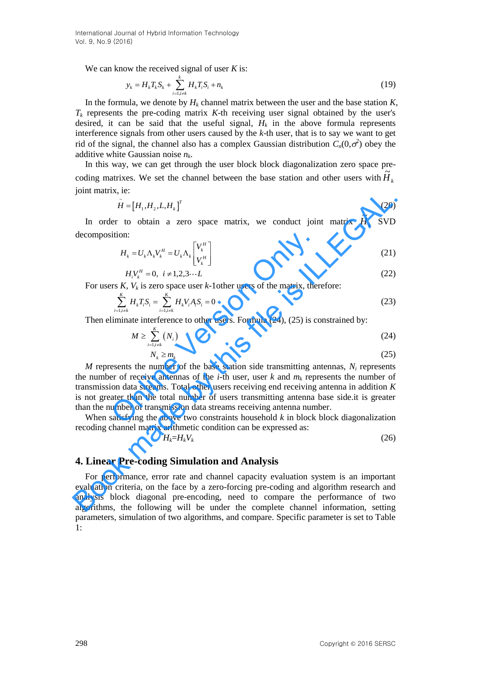International Journal of Hybrid Information Technology Vol. 9, No.9 (2016)

We can know the received signal of user *K* is:

$$
y_k = H_k T_k S_k + \sum_{i=1, i \neq k}^k H_k T_i S_i + n_k \tag{19}
$$

In the formula, we denote by  $H_k$  channel matrix between the user and the base station  $K$ ,  $T_k$  represents the pre-coding matrix  $K$ -th receiving user signal obtained by the user's desired, it can be said that the useful signal,  $H_k$  in the above formula represents interference signals from other users caused by the *k*-th user, that is to say we want to get rid of the signal, the channel also has a complex Gaussian distribution  $C_n(0, \sigma^2)$  obey the additive white Gaussian noise *n<sup>k</sup>* .

In this way, we can get through the user block block diagonalization zero space precoding matrixes. We set the channel between the base station and other users with  $\widetilde{H}_k$ joint matrix, ie:

$$
\tilde{H} = [H_1, H_2, L, H_k]^T
$$
\n(20)

In order to obtain a zero space matrix, we conduct joint matrix  $\widetilde{H}_k$  SVD decomposition:

$$
H_k = U_k \Lambda_k V_k^H = U_k \Lambda_k \begin{bmatrix} V_k^H \\ V_k^H \end{bmatrix}
$$
 (21)

$$
H_i V_k^H = 0, \ \ i \neq 1, 2, 3 \cdots L \tag{22}
$$

For users  $K$ ,  $V_k$  is zero space user  $k$ -1other users of the matrix, therefore:

$$
\sum_{i=1, i \neq k}^{K} H_k T_i S_i = \sum_{i=1, i \neq k}^{K} H_k V_i A_i S_i = 0
$$
\n(23)

Then eliminate interference to other users. Formula (24), (25) is constrained by:

$$
M \ge \sum_{i=1, i \ne k}^{K} (N_i) \tag{24}
$$

$$
N_k \ge m_k
$$
\n(25)

 $M$  represents the number of the base station side transmitting antennas,  $N_i$  represents the number of receive antennas of the *i*-th user, user  $k$  and  $m_k$  represents the number of transmission data streams. Total other users receiving end receiving antenna in addition *K* is not greater than the total number of users transmitting antenna base side.it is greater than the number of transmission data streams receiving antenna number. ition:<br>  $H_k = U_k \Lambda_k V_k^H = U_k \Lambda_k \begin{bmatrix} V_k^H \\ V_k^H \end{bmatrix}$ <br>  $H_j V_k^H = 0, \quad i \neq 1, 2, 3 \cdots L$ <br>
rs K,  $V_k$  is zero space user k-1 other users of the matrix, then<br>  $\sum_{i=1, i \neq k}^K H_k T_i S_i = \sum_{i=1, i \neq k}^K H_k V_i A_i S_i = 0$ <br>
liminate interferen John matrix, i.e.<br>  $\vec{H} = [H_1, H_2, I, H_1]^T$  (20)<br>
In order to obtain a zero space matrix, we conduct joint matrix  $\vec{H}_k$  SVD<br>
decomposition:<br>  $H_k = [U_k \Lambda_k V_k^H = U_k \Lambda_k \begin{bmatrix} V_k^H \\ V_k^H \end{bmatrix}$  (21)<br>  $H_i V_k^H = 0$ ,  $i \neq 1, 2, 3 \cd$ 

When satisfying the above two constraints household *k* in block block diagonalization recoding channel matrix arithmetic condition can be expressed as:

$$
H_k = H_k V_k \tag{26}
$$

### **4. Linear Pre-coding Simulation and Analysis**

For performance, error rate and channel capacity evaluation system is an important evaluation criteria, on the face by a zero-forcing pre-coding and algorithm research and analysis block diagonal pre-encoding, need to compare the performance of two algorithms, the following will be under the complete channel information, setting parameters, simulation of two algorithms, and compare. Specific parameter is set to Table 1: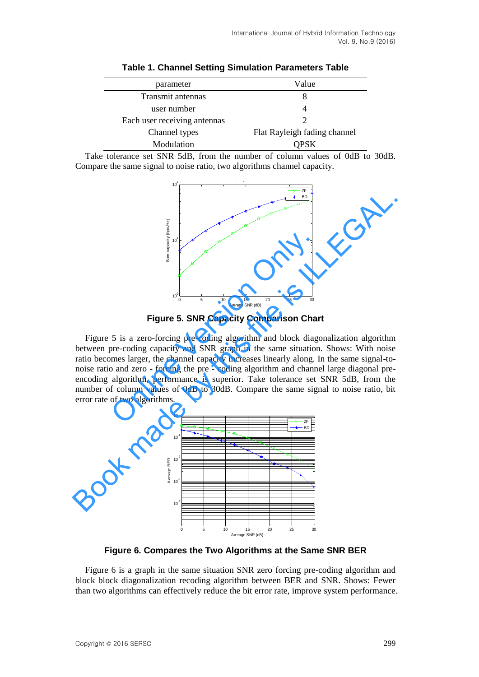| parameter                    | Value                        |
|------------------------------|------------------------------|
| Transmit antennas            |                              |
| user number                  |                              |
| Each user receiving antennas |                              |
| Channel types                | Flat Rayleigh fading channel |
| Modulation                   | OPSK                         |

**Table 1. Channel Setting Simulation Parameters Table** 

Take tolerance set SNR 5dB, from the number of column values of 0dB to 30dB. Compare the same signal to noise ratio, two algorithms channel capacity.



**Figure 5. SNR Capacity Comparison Chart**

Figure 5 is a zero-forcing pre-coding algorithm and block diagonalization algorithm between pre-coding capacity and SNR graph in the same situation. Shows: With noise ratio becomes larger, the channel capacity increases linearly along. In the same signal-tonoise ratio and zero - forcing the pre - coding algorithm and channel large diagonal preencoding algorithm, performance is superior. Take tolerance set SNR 5dB, from the number of column values of 0dB to 30dB. Compare the same signal to noise ratio, bit error rate of two algorithms. Figure 5. SNR Capacity Comparison Channel Same Control of two algorithms.<br>
Figure 5. SNR Capacity Comparison Channel Six a zero-forcing pre-coding algorithm and block diagoner-coding capacity and SNR graph in the same sit Figure 5 is a zero-forcing pre-coding algorithm and block diagonalization algorithm<br>
Figure 5 is a zero-forcing pre-coding algorithm and block diagonalization algorithm<br>
between pre-coding capacity and SNR graph in the sa



**Figure 6. Compares the Two Algorithms at the Same SNR BER** 

Figure 6 is a graph in the same situation SNR zero forcing pre-coding algorithm and block block diagonalization recoding algorithm between BER and SNR. Shows: Fewer than two algorithms can effectively reduce the bit error rate, improve system performance.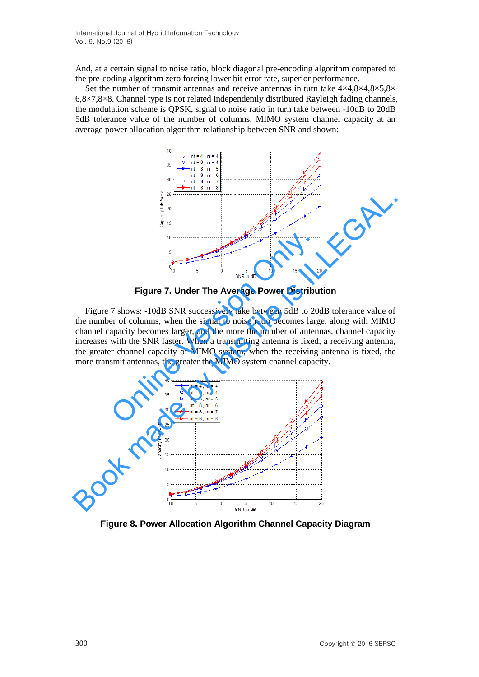And, at a certain signal to noise ratio, block diagonal pre-encoding algorithm compared to the pre-coding algorithm zero forcing lower bit error rate, superior performance.

Set the number of transmit antennas and receive antennas in turn take  $4\times4.8\times4.8\times5.8\times$ 6,8×7,8×8. Channel type is not related independently distributed Rayleigh fading channels, the modulation scheme is QPSK, signal to noise ratio in turn take between -10dB to 20dB 5dB tolerance value of the number of columns. MIMO system channel capacity at an average power allocation algorithm relationship between SNR and shown:



**Figure 7. Under The Average Power Distribution** 

Figure 7 shows: -10dB SNR successively take between 5dB to 20dB tolerance value of the number of columns, when the signal to noise ratio becomes large, along with MIMO channel capacity becomes larger, and the more the number of antennas, channel capacity increases with the SNR faster. When a transmitting antenna is fixed, a receiving antenna, the greater channel capacity of MIMO system; when the receiving antenna is fixed, the more transmit antennas, the greater the MIMO system channel capacity. Figure 7. Under The Average Power Distribute 16. SWR in the set of columns, when the signal to noise ratio becomes large appacity becomes larger, and the more the number of anten with the SNR faster. When a transmitting a



**Figure 8. Power Allocation Algorithm Channel Capacity Diagram**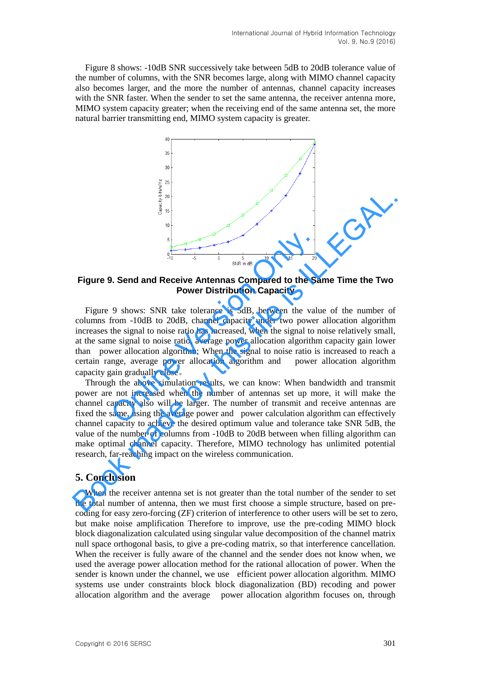Figure 8 shows: -10dB SNR successively take between 5dB to 20dB tolerance value of the number of columns, with the SNR becomes large, along with MIMO channel capacity also becomes larger, and the more the number of antennas, channel capacity increases with the SNR faster. When the sender to set the same antenna, the receiver antenna more, MIMO system capacity greater; when the receiving end of the same antenna set, the more natural barrier transmitting end, MIMO system capacity is greater.



**Figure 9. Send and Receive Antennas Compared to the Same Time the Two Power Distribution Capacity**

Figure 9 shows: SNR take tolerance is 5dB, between the value of the number of columns from -10dB to 20dB, channel capacity under two power allocation algorithm increases the signal to noise ratio has increased, when the signal to noise relatively small, at the same signal to noise ratio, average power allocation algorithm capacity gain lower than power allocation algorithm; When the signal to noise ratio is increased to reach a certain range, average power allocation algorithm and power allocation algorithm capacity gain gradually close。 **Example 2.1 Send and Receive Antennas Compared to the Sand and Receive Antennas Compared to the Sand and Receive Antennas Compared to the Sand Conversion Only all the Version Only all the Sand Conversion Only all the sig** 

Through the above simulation results, we can know: When bandwidth and transmit power are not increased when the number of antennas set up more, it will make the channel capacity also will be larger. The number of transmit and receive antennas are fixed the same, using the average power and power calculation algorithm can effectively channel capacity to achieve the desired optimum value and tolerance take SNR 5dB, the value of the number of columns from -10dB to 20dB between when filling algorithm can make optimal channel capacity. Therefore, MIMO technology has unlimited potential research, far-reaching impact on the wireless communication. **Eigure 9. Send and Receive Antennas Compared to the Same Time the Two Figure 9. Send and Receive Antennas Compared to the Same Time the Two Figure 9 shows: SNR take tolerance is 5dB, between the value of the number of co** 

### **5. Conclusion**

When the receiver antenna set is not greater than the total number of the sender to set the total number of antenna, then we must first choose a simple structure, based on precoding for easy zero-forcing (ZF) criterion of interference to other users will be set to zero, but make noise amplification Therefore to improve, use the pre-coding MIMO block block diagonalization calculated using singular value decomposition of the channel matrix null space orthogonal basis, to give a pre-coding matrix, so that interference cancellation. When the receiver is fully aware of the channel and the sender does not know when, we used the average power allocation method for the rational allocation of power. When the sender is known under the channel, we use efficient power allocation algorithm. MIMO systems use under constraints block block diagonalization (BD) recoding and power allocation algorithm and the average power allocation algorithm focuses on, through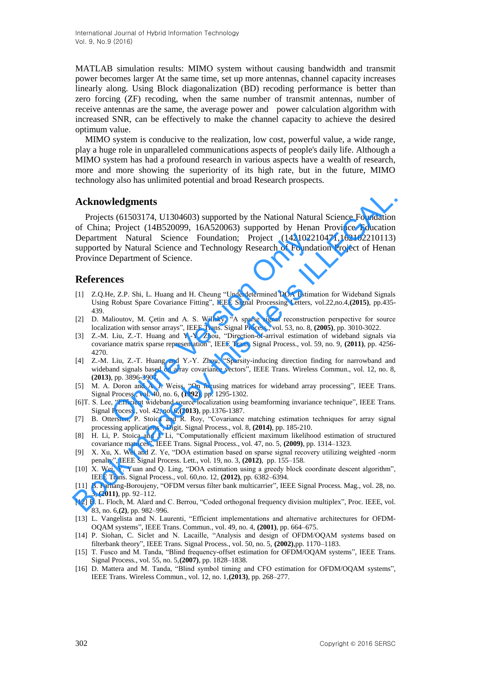MATLAB simulation results: MIMO system without causing bandwidth and transmit power becomes larger At the same time, set up more antennas, channel capacity increases linearly along. Using Block diagonalization (BD) recoding performance is better than zero forcing (ZF) recoding, when the same number of transmit antennas, number of receive antennas are the same, the average power and power calculation algorithm with increased SNR, can be effectively to make the channel capacity to achieve the desired optimum value.

MIMO system is conducive to the realization, low cost, powerful value, a wide range, play a huge role in unparalleled communications aspects of people's daily life. Although a MIMO system has had a profound research in various aspects have a wealth of research, more and more showing the superiority of its high rate, but in the future, MIMO technology also has unlimited potential and broad Research prospects.

### **Acknowledgments**

Projects (61503174, U1304603) supported by the National Natural Science Foundation of China; Project (14B520099, 16A520063) supported by Henan Province Education Department Natural Science Foundation; Project (142102210471,162102210113) supported by Natural Science and Technology Research of Foundation Project of Henan Province Department of Science. nt Natural Science Foundation; Project (14210221<br>by Natural Science and Technology Research of Foundat<br>Department of Science.<br>**CCS**<br>e, Z.P. Shi, L. Huang and H. Cheung "Underdetermined DOA Estimat<br>Robust Spare Covariance F **Acknowledgments**<br>
Projects (61503174, U1304603) supported by the National Natural Science Foundation<br>
O'China; Project (148520099) supported by Hensan Province Education<br>
Department Natural Science. Exonodicion: Project

### **References**

- [1] Z.Q.He, Z.P. Shi, L. Huang and H. Cheung "Underdetermined DOA Estimation for Wideband Signals Using Robust Spare Covariance Fitting", IEEE Signal Processing Letters, vol.22,no.4,**(2015)**, pp.435- 439.
- [2] D. Malioutov, M. Çetin and A. S. Willsky, "A sparse signal reconstruction perspective for source localization with sensor arrays", IEEE Trans. Signal Process., vol. 53, no. 8, **(2005)**, pp. 3010-3022.
- [3] Z.-M. Liu, Z.-T. Huang and Y.-Y. Zhou, "Direction-of-arrival estimation of wideband signals via covariance matrix sparse representation", IEEE Trans. Signal Process., vol. 59, no. 9, **(2011)**, pp. 4256- 4270.
- [4] Z.-M. Liu, Z.-T. Huang and Y.-Y. Zhou, "Sparsity-inducing direction finding for narrowband and wideband signals based on array covariance vectors", IEEE Trans. Wireless Commun., vol. 12, no. 8, **(2013)**, pp. 3896-3907.
- [5] M. A. Doron and A. J. Weiss, "On focusing matrices for wideband array processing", IEEE Trans. Signal Process., vol. 40, no. 6, **(1992)**, pp. 1295-1302.
- [6]T. S. Lee, "Efficient wideband source localization using beamforming invariance technique", IEEE Trans. Signal Process., vol. 42, no. 6,**(2013)**, pp.1376-1387.
- [7] B. Ottersten, P. Stoica and R. Roy, "Covariance matching estimation techniques for array signal processing applications", Digit. Signal Process., vol. 8, **(2014)**, pp. 185-210.
- [8] H. Li, P. Stoica and J. Li, "Computationally efficient maximum likelihood estimation of structured covariance matrices", IEEE Trans. Signal Process., vol. 47, no. 5, **(2009)**, pp. 1314–1323.
- [9] X. Xu, X. Wei and Z. Ye, "DOA estimation based on sparse signal recovery utilizing weighted -norm penalty", IEEE Signal Process. Lett., vol. 19, no. 3, **(2012)**, pp. 155–158.
- [10] X. Wei, Y. Yuan and Q. Ling, "DOA estimation using a greedy block coordinate descent algorithm", IEEE Trans. Signal Process., vol. 60,no. 12, **(2012)**, pp. 6382–6394.
- [11] B. Farhang-Boroujeny, "OFDM versus filter bank multicarrier", IEEE Signal Process. Mag., vol. 28, no. 3, **(2011)**, pp. 92–112.
- [12] B. L. Floch, M. Alard and C. Berrou, "Coded orthogonal frequency division multiplex", Proc. IEEE, vol. 83, no. 6,**(2)**, pp. 982–996.
- [13] L. Vangelista and N. Laurenti, "Efficient implementations and alternative architectures for OFDM-OQAM systems", IEEE Trans. Commun., vol. 49, no. 4, **(2001)**, pp. 664–675.
- [14] P. Siohan, C. Siclet and N. Lacaille, "Analysis and design of OFDM/OQAM systems based on filterbank theory", IEEE Trans. Signal Process., vol. 50, no. 5, **(2002)**,pp. 1170–1183.
- [15] T. Fusco and M. Tanda, "Blind frequency-offset estimation for OFDM/OQAM systems", IEEE Trans. Signal Process., vol. 55, no. 5,**(2007)**, pp. 1828–1838.
- [16] D. Mattera and M. Tanda, "Blind symbol timing and CFO estimation for OFDM/OOAM systems", IEEE Trans. Wireless Commun., vol. 12, no. 1,**(2013)**, pp. 268–277.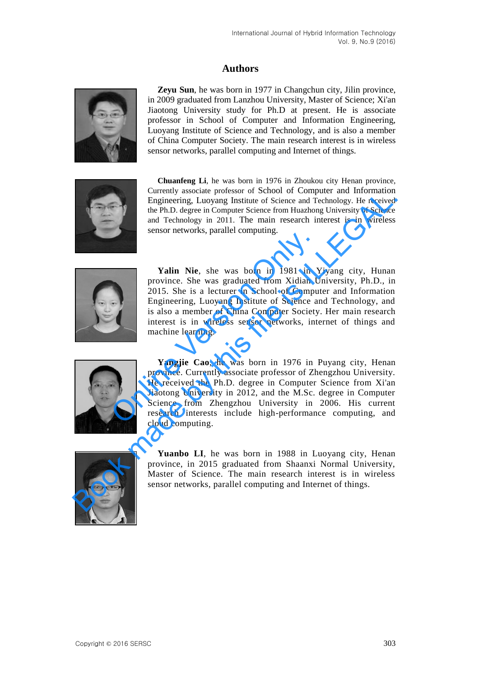# **Authors**



**Zeyu Sun**, he was born in 1977 in Changchun city, Jilin province, in 2009 graduated from Lanzhou University, Master of Science; Xi'an Jiaotong University study for Ph.D at present. He is associate professor in School of Computer and Information Engineering, Luoyang Institute of Science and Technology, and is also a member of China Computer Society. The main research interest is in wireless sensor networks, parallel computing and Internet of things.



**Chuanfeng Li**, he was born in 1976 in Zhoukou city Henan province, Currently associate professor of School of Computer and Information Engineering, Luoyang Institute of Science and Technology. He received the Ph.D. degree in Computer Science from Huazhong University of Science and Technology in 2011. The main research interest is in wireless sensor networks, parallel computing.



Yalin Nie, she was born in 1981 in Yiyang city, Hunan province. She was graduated from Xidian University, Ph.D., in 2015. She is a lecturer in School of Computer and Information Engineering, Luoyang Institute of Science and Technology, and is also a member of China Computer Society. Her main research interest is in wireless sensor networks, internet of things and machine learning. **Example 1998**<br> **Example 1998**<br> **Example 1999**<br> **Example 1999**<br> **Example 1999**<br> **Example 1999**<br> **Engineering, Luoyang Institute of Science and is also a member of China Computer Society<br>
interest is in wireless sensor netw** 



**Yangjie Cao**, he was born in 1976 in Puyang city, Henan province. Currently associate professor of Zhengzhou University. He received the Ph.D. degree in Computer Science from Xi'an Jiaotong University in 2012, and the M.Sc. degree in Computer Science from Zhengzhou University in 2006. His current research interests include high-performance computing, and cloud computing. Concilianty associate protocol of Science from Hundmaton<br>
Engineering, Luoyang Institute of Science from Hundmaton Theresiands and Technology. He received<br>
and Technology in 2011. The main research interest is in wireless<br>



Yuanbo LI, he was born in 1988 in Luoyang city, Henan province, in 2015 graduated from Shaanxi Normal University, Master of Science. The main research interest is in wireless sensor networks, parallel computing and Internet of things.